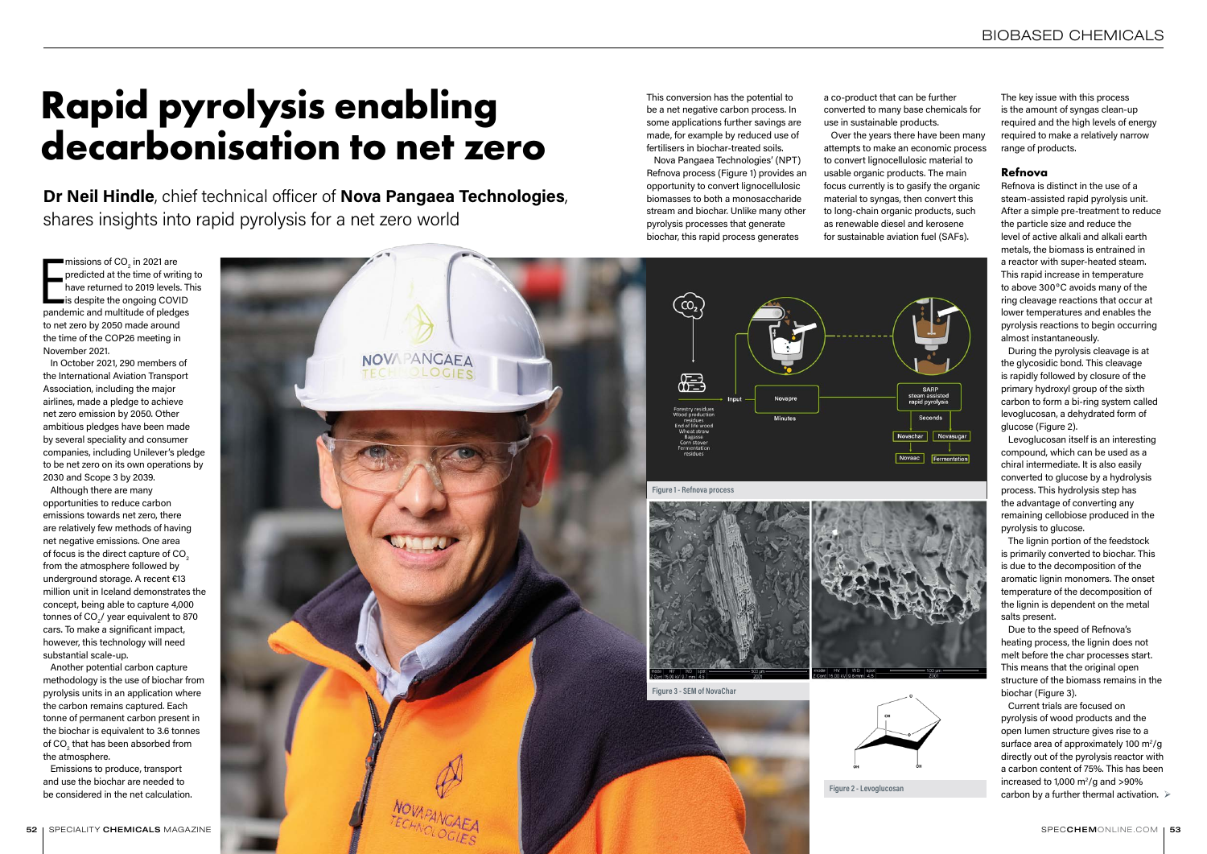# **Rapid pyrolysis enabling decarbonisation to net zero**

Dr Neil Hindle, chief technical officer of Nova Pangaea Technologies, shares insights into rapid pyrolysis for a net zero world

missions of  $CO<sub>2</sub>$  in 2021 are<br>predicted at the time of writing<br>have returned to 2019 levels. The<br>is despite the ongoing COVID<br>pandemic and multitude of pledges missions of CO $_{\rm 2}$  in 2021 are predicted at the time of writing to have returned to 2019 levels. This is despite the ongoing COVID to net zero by 2050 made around the time of the COP26 meeting in November 2021.

In October 2021, 290 members of the International Aviation Transport Association, including the major airlines, made a pledge to achieve net zero emission by 2050. Other ambitious pledges have been made by several speciality and consumer companies, including Unilever's pledge to be net zero on its own operations by 2030 and Scope 3 by 2039.

Although there are many opportunities to reduce carbon emissions towards net zero, there are relatively few methods of having net negative emissions. One area of focus is the direct capture of CO<sub>2</sub> from the atmosphere followed by underground storage. A recent €13 million unit in Iceland demonstrates the concept, being able to capture 4,000 tonnes of CO $_{\tiny 2}^{}$ / year equivalent to 870 cars. To make a significant impact, however, this technology will need substantial scale-up.

Another potential carbon capture methodology is the use of biochar from pyrolysis units in an application where the carbon remains captured. Each tonne of permanent carbon present in the biochar is equivalent to 3.6 tonnes of CO $_{\tiny 2}$  that has been absorbed from the atmosphere.

Emissions to produce, transport and use the biochar are needed to be considered in the net calculation.

NOVAPANGAEA OLOGIES 程 Figure 1 - Refnova process Figure 3 - SEM of NovaChar Figure 2 - Levoglucosan 52 I SPECIALITY CHEMICALS MAGAZINE SPECCHEM[ONLINE.COM](https://www.specchemonline.com) I 53

Current trials are focused on pyrolysis of wood products and the open lumen structure gives rise to a surface area of approximately 100  $\mathrm{m}^2/\mathrm{g}$ directly out of the pyrolysis reactor with a carbon content of 75%. This has been increased to 1,000  $\mathrm{m}^2/\mathrm{g}$  and >90% carbon by a further thermal activation.  $\triangleright$ 

The key issue with this process is the amount of syngas clean-up required and the high levels of energy required to make a relatively narrow range of products.

#### **Refnova**

Refnova is distinct in the use of a steam-assisted rapid pyrolysis unit. After a simple pre-treatment to reduce the particle size and reduce the level of active alkali and alkali earth metals, the biomass is entrained in a reactor with super-heated steam. This rapid increase in temperature to above 300ºC avoids many of the ring cleavage reactions that occur at lower temperatures and enables the pyrolysis reactions to begin occurring almost instantaneously.

During the pyrolysis cleavage is at the glycosidic bond. This cleavage is rapidly followed by closure of the primary hydroxyl group of the sixth carbon to form a bi-ring system called levoglucosan, a dehydrated form of glucose (Figure 2).

Levoglucosan itself is an interesting compound, which can be used as a chiral intermediate. It is also easily converted to glucose by a hydrolysis process. This hydrolysis step has the advantage of converting any remaining cellobiose produced in the pyrolysis to glucose.

The lignin portion of the feedstock is primarily converted to biochar. This is due to the decomposition of the aromatic lignin monomers. The onset temperature of the decomposition of the lignin is dependent on the metal salts present.

Due to the speed of Refnova's heating process, the lignin does not melt before the char processes start. This means that the original open structure of the biomass remains in the biochar (Figure 3).

a co-product that can be further converted to many base chemicals for use in sustainable products.

Over the years there have been many attempts to make an economic process to convert lignocellulosic material to usable organic products. The main focus currently is to gasify the organic material to syngas, then convert this to long-chain organic products, such as renewable diesel and kerosene for sustainable aviation fuel (SAFs).

This conversion has the potential to be a net negative carbon process. In some applications further savings are made, for example by reduced use of fertilisers in biochar-treated soils.

Nova Pangaea Technologies' (NPT) Refnova process (Figure 1) provides an opportunity to convert lignocellulosic biomasses to both a monosaccharide stream and biochar. Unlike many other pyrolysis processes that generate biochar, this rapid process generates

 $\left[\begin{matrix} 0 \\ 0 \\ 0 \end{matrix} \right]$